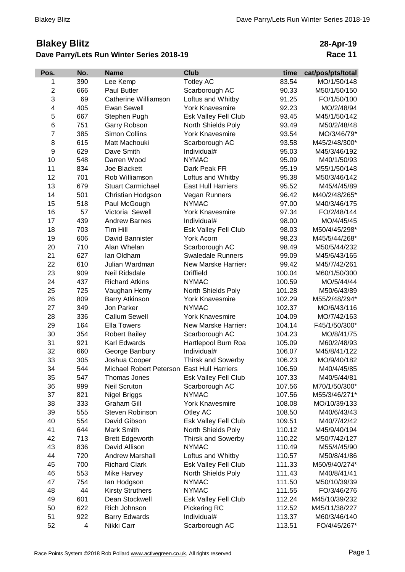## **Blakey Blitz Dave Parry/Lets Run Winter Series 2018-19**

**28-Apr-19 Race 11**

| Pos.                    | No. | <b>Name</b>                                | <b>Club</b>                | time   | cat/pos/pts/total |
|-------------------------|-----|--------------------------------------------|----------------------------|--------|-------------------|
| 1                       | 390 | Lee Kemp                                   | <b>Totley AC</b>           | 83.54  | MO/1/50/148       |
| $\overline{\mathbf{c}}$ | 666 | <b>Paul Butler</b>                         | Scarborough AC             | 90.33  | M50/1/50/150      |
| 3                       | 69  | Catherine Williamson                       | Loftus and Whitby          | 91.25  | FO/1/50/100       |
| 4                       | 405 | <b>Ewan Sewell</b>                         | <b>York Knavesmire</b>     | 92.23  | MO/2/48/94        |
| 5                       | 667 | Stephen Pugh                               | Esk Valley Fell Club       | 93.45  | M45/1/50/142      |
| 6                       | 751 | Garry Robson                               | North Shields Poly         | 93.49  | M50/2/48/48       |
| $\overline{7}$          | 385 | Simon Collins                              | <b>York Knavesmire</b>     | 93.54  | MO/3/46/79*       |
| 8                       | 615 | Matt Machouki                              | Scarborough AC             | 93.58  | M45/2/48/300*     |
| 9                       | 629 | Dave Smith                                 | Individual#                | 95.03  | M45/3/46/192      |
| 10                      | 548 | Darren Wood                                | <b>NYMAC</b>               | 95.09  | M40/1/50/93       |
| 11                      | 834 | Joe Blackett                               | Dark Peak FR               | 95.19  | M55/1/50/148      |
| 12                      | 701 | Rob Williamson                             | Loftus and Whitby          | 95.38  | M50/3/46/142      |
| 13                      | 679 | <b>Stuart Carmichael</b>                   | <b>East Hull Harriers</b>  | 95.52  | M45/4/45/89       |
| 14                      | 501 | Christian Hodgson                          | Vegan Runners              | 96.42  | M40/2/48/265*     |
| 15                      | 518 | Paul McGough                               | <b>NYMAC</b>               | 97.00  | M40/3/46/175      |
| 16                      | 57  | Victoria Sewell                            | <b>York Knavesmire</b>     | 97.34  | FO/2/48/144       |
| 17                      | 439 | <b>Andrew Barnes</b>                       | Individual#                | 98.00  | MO/4/45/45        |
| 18                      | 703 | Tim Hill                                   | Esk Valley Fell Club       | 98.03  | M50/4/45/298*     |
| 19                      | 606 | David Bannister                            | York Acorn                 | 98.23  | M45/5/44/268*     |
| 20                      | 710 | Alan Whelan                                | Scarborough AC             | 98.49  | M50/5/44/232      |
| 21                      | 627 | Ian Oldham                                 | <b>Swaledale Runners</b>   | 99.09  | M45/6/43/165      |
| 22                      | 610 | Julian Wardman                             | <b>New Marske Harriers</b> | 99.42  | M45/7/42/261      |
| 23                      | 909 | Neil Ridsdale                              | <b>Driffield</b>           | 100.04 | M60/1/50/300      |
| 24                      | 437 | <b>Richard Atkins</b>                      | <b>NYMAC</b>               | 100.59 | MO/5/44/44        |
| 25                      | 725 | Vaughan Hemy                               | North Shields Poly         | 101.28 | M50/6/43/89       |
| 26                      | 809 | <b>Barry Atkinson</b>                      | <b>York Knavesmire</b>     | 102.29 | M55/2/48/294*     |
| 27                      | 349 | Jon Parker                                 | <b>NYMAC</b>               | 102.37 | MO/6/43/116       |
| 28                      | 336 | <b>Callum Sewell</b>                       | <b>York Knavesmire</b>     | 104.09 | MO/7/42/163       |
| 29                      | 164 | <b>Ella Towers</b>                         | <b>New Marske Harriers</b> | 104.14 | F45/1/50/300*     |
| 30                      | 354 | <b>Robert Bailey</b>                       | Scarborough AC             | 104.23 | MO/8/41/75        |
| 31                      | 921 | Karl Edwards                               | Hartlepool Burn Roa        | 105.09 | M60/2/48/93       |
| 32                      | 660 | George Banbury                             | Individual#                | 106.07 | M45/8/41/122      |
| 33                      | 305 | Joshua Cooper                              | <b>Thirsk and Sowerby</b>  | 106.23 | MO/9/40/182       |
| 34                      | 544 | Michael Robert Peterson East Hull Harriers |                            | 106.59 | M40/4/45/85       |
| 35                      | 547 | Thomas Jones                               | Esk Valley Fell Club       | 107.33 | M40/5/44/81       |
| 36                      | 999 | <b>Neil Scruton</b>                        | Scarborough AC             | 107.56 | M70/1/50/300*     |
| 37                      | 821 | Nigel Briggs                               | <b>NYMAC</b>               | 107.56 | M55/3/46/271*     |
| 38                      | 333 | <b>Graham Gill</b>                         | <b>York Knavesmire</b>     | 108.08 | MO/10/39/133      |
| 39                      | 555 | Steven Robinson                            | Otley AC                   | 108.50 | M40/6/43/43       |
| 40                      | 554 | David Gibson                               | Esk Valley Fell Club       | 109.51 | M40/7/42/42       |
| 41                      | 644 | Mark Smith                                 | North Shields Poly         | 110.12 | M45/9/40/194      |
| 42                      | 713 | <b>Brett Edgeworth</b>                     | <b>Thirsk and Sowerby</b>  | 110.22 | M50/7/42/127      |
| 43                      | 836 | David Allison                              | <b>NYMAC</b>               | 110.49 | M55/4/45/90       |
| 44                      | 720 | <b>Andrew Marshall</b>                     | Loftus and Whitby          | 110.57 | M50/8/41/86       |
| 45                      | 700 | <b>Richard Clark</b>                       | Esk Valley Fell Club       | 111.33 | M50/9/40/274*     |
| 46                      | 553 | <b>Mike Harvey</b>                         | North Shields Poly         | 111.43 | M40/8/41/41       |
| 47                      | 754 | lan Hodgson                                | <b>NYMAC</b>               | 111.50 | M50/10/39/39      |
| 48                      | 44  | <b>Kirsty Struthers</b>                    | <b>NYMAC</b>               | 111.55 | FO/3/46/276       |
| 49                      | 601 | Dean Stockwell                             | Esk Valley Fell Club       | 112.24 | M45/10/39/232     |
| 50                      | 622 | Rich Johnson                               | Pickering RC               | 112.52 | M45/11/38/227     |
| 51                      | 922 | <b>Barry Edwards</b>                       | Individual#                | 113.37 | M60/3/46/140      |
| 52                      | 4   | Nikki Carr                                 | Scarborough AC             | 113.51 | FO/4/45/267*      |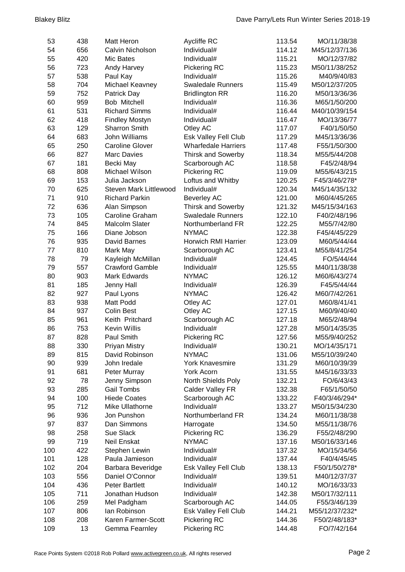| 53  | 438 | <b>Matt Heron</b>             | <b>Aycliffe RC</b>         | 113.54 | MO/11/38/38    |
|-----|-----|-------------------------------|----------------------------|--------|----------------|
| 54  | 656 | Calvin Nicholson              | Individual#                | 114.12 | M45/12/37/136  |
| 55  | 420 | Mic Bates                     | Individual#                | 115.21 | MO/12/37/82    |
| 56  | 723 | Andy Harvey                   | Pickering RC               | 115.23 | M50/11/38/252  |
| 57  | 538 | Paul Kay                      | Individual#                | 115.26 | M40/9/40/83    |
| 58  | 704 | Michael Keavney               | <b>Swaledale Runners</b>   | 115.49 | M50/12/37/205  |
| 59  | 752 | Patrick Day                   | <b>Bridlington RR</b>      | 116.20 | M50/13/36/36   |
| 60  | 959 | Bob Mitchell                  | Individual#                | 116.36 | M65/1/50/200   |
| 61  | 531 | <b>Richard Simms</b>          | Individual#                | 116.44 | M40/10/39/154  |
| 62  | 418 | <b>Findley Mostyn</b>         | Individual#                | 116.47 | MO/13/36/77    |
| 63  | 129 | Sharron Smith                 | Otley AC                   | 117.07 | F40/1/50/50    |
| 64  | 683 | <b>John Williams</b>          | Esk Valley Fell Club       | 117.29 | M45/13/36/36   |
| 65  | 250 | <b>Caroline Glover</b>        | <b>Wharfedale Harriers</b> | 117.48 | F55/1/50/300   |
| 66  | 827 | <b>Marc Davies</b>            | <b>Thirsk and Sowerby</b>  | 118.34 | M55/5/44/208   |
| 67  | 181 | Becki May                     | Scarborough AC             | 118.58 | F45/2/48/94    |
| 68  | 808 | Michael Wilson                | Pickering RC               | 119.09 | M55/6/43/215   |
| 69  | 153 | Julia Jackson                 | Loftus and Whitby          | 120.25 | F45/3/46/278*  |
| 70  | 625 | <b>Steven Mark Littlewood</b> | Individual#                | 120.34 | M45/14/35/132  |
| 71  | 910 | <b>Richard Parkin</b>         | <b>Beverley AC</b>         | 121.00 | M60/4/45/265   |
| 72  | 636 | Alan Simpson                  | <b>Thirsk and Sowerby</b>  | 121.32 | M45/15/34/163  |
| 73  | 105 | Caroline Graham               | <b>Swaledale Runners</b>   | 122.10 | F40/2/48/196   |
| 74  | 845 | <b>Malcolm Slater</b>         | Northumberland FR          | 122.25 | M55/7/42/80    |
| 75  | 166 | Diane Jobson                  | <b>NYMAC</b>               | 122.38 | F45/4/45/229   |
| 76  | 935 | David Barnes                  | Horwich RMI Harrier        | 123.09 | M60/5/44/44    |
| 77  | 810 | Mark May                      | Scarborough AC             | 123.41 | M55/8/41/254   |
| 78  | 79  | Kayleigh McMillan             | Individual#                | 124.45 | FO/5/44/44     |
| 79  | 557 | <b>Crawford Gamble</b>        | Individual#                | 125.55 | M40/11/38/38   |
| 80  | 903 | <b>Mark Edwards</b>           | <b>NYMAC</b>               | 126.12 | M60/6/43/274   |
| 81  | 185 | Jenny Hall                    | Individual#                | 126.39 | F45/5/44/44    |
| 82  | 927 | Paul Lyons                    | <b>NYMAC</b>               | 126.42 | M60/7/42/261   |
| 83  | 938 | Matt Podd                     | Otley AC                   | 127.01 | M60/8/41/41    |
| 84  | 937 | <b>Colin Best</b>             | Otley AC                   | 127.15 | M60/9/40/40    |
| 85  | 961 | Keith Pritchard               | Scarborough AC             | 127.18 | M65/2/48/94    |
| 86  | 753 | <b>Kevin Willis</b>           | Individual#                | 127.28 | M50/14/35/35   |
| 87  | 828 | Paul Smith                    | Pickering RC               | 127.56 | M55/9/40/252   |
| 88  | 330 | <b>Priyan Mistry</b>          | Individual#                | 130.21 | MO/14/35/171   |
| 89  | 815 | David Robinson                | <b>NYMAC</b>               | 131.06 | M55/10/39/240  |
| 90  | 939 | John Iredale                  | <b>York Knavesmire</b>     | 131.29 | M60/10/39/39   |
| 91  | 681 | Peter Murray                  | York Acorn                 | 131.55 | M45/16/33/33   |
| 92  | 78  | Jenny Simpson                 | North Shields Poly         | 132.21 | FO/6/43/43     |
| 93  | 285 | <b>Gail Tombs</b>             | Calder Valley FR           | 132.38 | F65/1/50/50    |
| 94  | 100 | <b>Hiede Coates</b>           | Scarborough AC             | 133.22 | F40/3/46/294*  |
| 95  | 712 | Mike Ullathorne               | Individual#                | 133.27 | M50/15/34/230  |
| 96  | 936 | Jon Punshon                   | Northumberland FR          | 134.24 | M60/11/38/38   |
| 97  | 837 | Dan Simmons                   | Harrogate                  | 134.50 | M55/11/38/76   |
| 98  | 258 | Sue Slack                     | Pickering RC               | 136.29 | F55/2/48/290   |
| 99  | 719 | Neil Enskat                   | <b>NYMAC</b>               | 137.16 | M50/16/33/146  |
| 100 | 422 | Stephen Lewin                 | Individual#                | 137.32 | MO/15/34/56    |
| 101 | 128 | Paula Jamieson                | Individual#                | 137.44 | F40/4/45/45    |
| 102 | 204 | Barbara Beveridge             | Esk Valley Fell Club       | 138.13 | F50/1/50/278*  |
| 103 | 556 | Daniel O'Connor               | Individual#                | 139.51 | M40/12/37/37   |
| 104 | 436 | <b>Peter Bartlett</b>         | Individual#                | 140.12 | MO/16/33/33    |
| 105 | 711 | Jonathan Hudson               | Individual#                | 142.38 | M50/17/32/111  |
| 106 | 259 | Mel Padgham                   | Scarborough AC             | 144.05 | F55/3/46/139   |
| 107 | 806 | lan Robinson                  | Esk Valley Fell Club       | 144.21 | M55/12/37/232* |
| 108 | 208 | Karen Farmer-Scott            | Pickering RC               | 144.36 | F50/2/48/183*  |
| 109 | 13  | Gemma Fearnley                | Pickering RC               | 144.48 | FO/7/42/164    |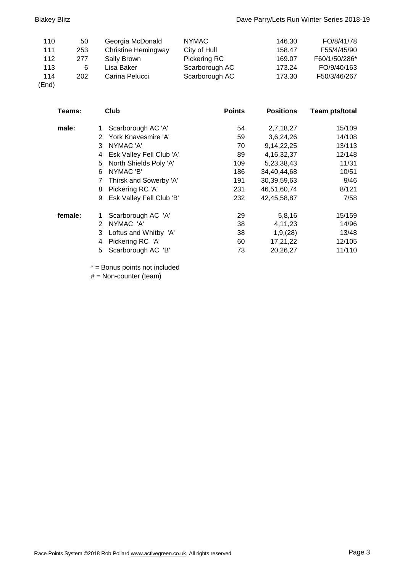| 110   | 50  | Georgia McDonald           | <b>NYMAC</b>   | 146.30 | FO/8/41/78    |
|-------|-----|----------------------------|----------------|--------|---------------|
| 111   | 253 | <b>Christine Hemingway</b> | City of Hull   | 158.47 | F55/4/45/90   |
| 112   | 277 | Sally Brown                | Pickering RC   | 169.07 | F60/1/50/286* |
| 113   | 6   | Lisa Baker                 | Scarborough AC | 173.24 | FO/9/40/163   |
| 114   | 202 | Carina Pelucci             | Scarborough AC | 173.30 | F50/3/46/267  |
| (End) |     |                            |                |        |               |

| Teams:  | Club                                  | <b>Points</b> | <b>Positions</b> | <b>Team pts/total</b> |
|---------|---------------------------------------|---------------|------------------|-----------------------|
| male:   | Scarborough AC 'A'<br>1               | 54            | 2,7,18,27        | 15/109                |
|         | York Knavesmire 'A'<br>$\overline{2}$ | 59            | 3,6,24,26        | 14/108                |
|         | NYMAC 'A'<br>3                        | 70            | 9,14,22,25       | 13/113                |
|         | Esk Valley Fell Club 'A'<br>4         | 89            | 4, 16, 32, 37    | 12/148                |
|         | North Shields Poly 'A'<br>5           | 109           | 5,23,38,43       | 11/31                 |
|         | NYMAC 'B'<br>6                        | 186           | 34,40,44,68      | 10/51                 |
|         | Thirsk and Sowerby 'A'<br>7           | 191           | 30,39,59,63      | 9/46                  |
|         | Pickering RC 'A'<br>8                 | 231           | 46,51,60,74      | 8/121                 |
|         | Esk Valley Fell Club 'B'<br>9         | 232           | 42,45,58,87      | 7/58                  |
| female: | Scarborough AC 'A'                    | 29            | 5,8,16           | 15/159                |
|         | NYMAC 'A'<br>2                        | 38            | 4,11,23          | 14/96                 |
|         | Loftus and Whitby 'A'<br>3            | 38            | 1,9,(28)         | 13/48                 |
|         | Pickering RC 'A'<br>4                 | 60            | 17,21,22         | 12/105                |
|         | 5<br>Scarborough AC 'B'               | 73            | 20,26,27         | 11/110                |

\* = Bonus points not included

 $#$  = Non-counter (team)